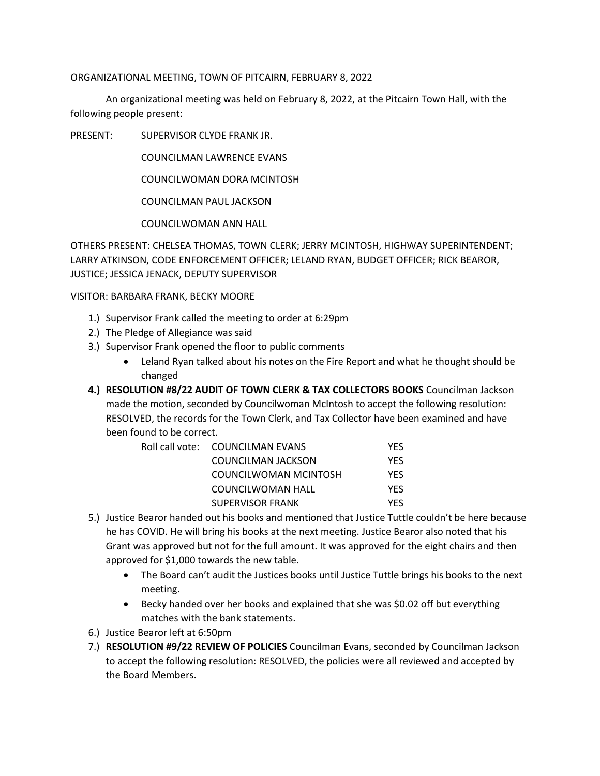## ORGANIZATIONAL MEETING, TOWN OF PITCAIRN, FEBRUARY 8, 2022

An organizational meeting was held on February 8, 2022, at the Pitcairn Town Hall, with the following people present:

PRESENT: SUPERVISOR CLYDE FRANK JR.

COUNCILMAN LAWRENCE EVANS

COUNCILWOMAN DORA MCINTOSH

COUNCILMAN PAUL JACKSON

COUNCILWOMAN ANN HALL

OTHERS PRESENT: CHELSEA THOMAS, TOWN CLERK; JERRY MCINTOSH, HIGHWAY SUPERINTENDENT; LARRY ATKINSON, CODE ENFORCEMENT OFFICER; LELAND RYAN, BUDGET OFFICER; RICK BEAROR, JUSTICE; JESSICA JENACK, DEPUTY SUPERVISOR

VISITOR: BARBARA FRANK, BECKY MOORE

- 1.) Supervisor Frank called the meeting to order at 6:29pm
- 2.) The Pledge of Allegiance was said
- 3.) Supervisor Frank opened the floor to public comments
	- Leland Ryan talked about his notes on the Fire Report and what he thought should be changed
- **4.) RESOLUTION #8/22 AUDIT OF TOWN CLERK & TAX COLLECTORS BOOKS** Councilman Jackson made the motion, seconded by Councilwoman McIntosh to accept the following resolution: RESOLVED, the records for the Town Clerk, and Tax Collector have been examined and have been found to be correct.

| Roll call vote: COUNCILMAN EVANS | YES        |
|----------------------------------|------------|
| COUNCILMAN JACKSON               | <b>YES</b> |
| COUNCILWOMAN MCINTOSH            | YFS.       |
| COUNCILWOMAN HALL                | YFS        |
| SUPERVISOR FRANK                 | YFS        |

- 5.) Justice Bearor handed out his books and mentioned that Justice Tuttle couldn't be here because he has COVID. He will bring his books at the next meeting. Justice Bearor also noted that his Grant was approved but not for the full amount. It was approved for the eight chairs and then approved for \$1,000 towards the new table.
	- The Board can't audit the Justices books until Justice Tuttle brings his books to the next meeting.
	- Becky handed over her books and explained that she was \$0.02 off but everything matches with the bank statements.
- 6.) Justice Bearor left at 6:50pm
- 7.) **RESOLUTION #9/22 REVIEW OF POLICIES** Councilman Evans, seconded by Councilman Jackson to accept the following resolution: RESOLVED, the policies were all reviewed and accepted by the Board Members.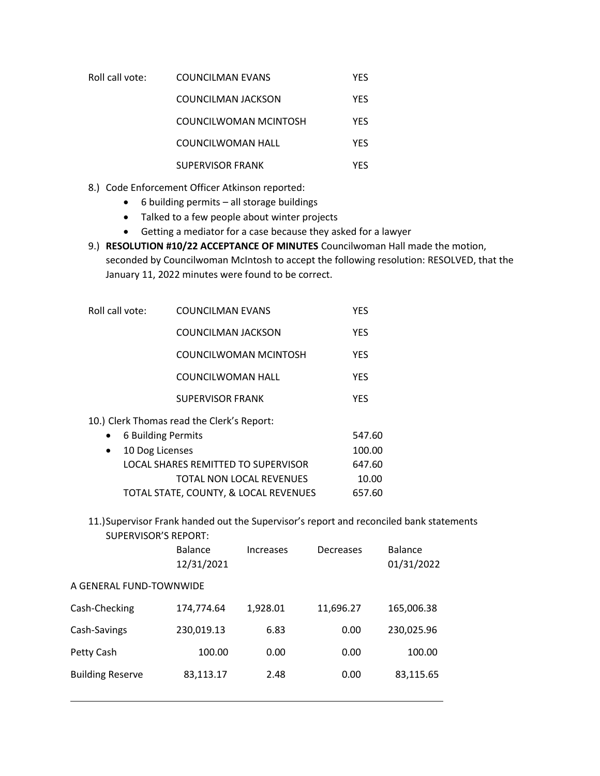| Roll call vote: | COUNCILMAN EVANS          | <b>YES</b> |
|-----------------|---------------------------|------------|
|                 | <b>COUNCILMAN JACKSON</b> | <b>YES</b> |
|                 | COUNCILWOMAN MCINTOSH     | YFS        |
|                 | COUNCILWOMAN HALL         | <b>YFS</b> |

- SUPERVISOR FRANK YES
- 8.) Code Enforcement Officer Atkinson reported:
	- 6 building permits all storage buildings
	- Talked to a few people about winter projects
	- Getting a mediator for a case because they asked for a lawyer
- 9.) **RESOLUTION #10/22 ACCEPTANCE OF MINUTES** Councilwoman Hall made the motion, seconded by Councilwoman McIntosh to accept the following resolution: RESOLVED, that the January 11, 2022 minutes were found to be correct.

| Roll call vote:              | <b>COUNCILMAN EVANS</b>                    | <b>YES</b> |
|------------------------------|--------------------------------------------|------------|
|                              | <b>COUNCILMAN JACKSON</b>                  | <b>YES</b> |
|                              | COUNCILWOMAN MCINTOSH                      | YES        |
|                              | COUNCILWOMAN HALL                          | <b>YES</b> |
|                              | <b>SUPERVISOR FRANK</b>                    | <b>YES</b> |
|                              | 10.) Clerk Thomas read the Clerk's Report: |            |
|                              | 6 Building Permits                         | 547.60     |
| 10 Dog Licenses<br>$\bullet$ |                                            | 100.00     |
|                              | LOCAL SHARES REMITTED TO SUPERVISOR        | 647.60     |
|                              | TOTAL NON LOCAL REVENUES                   | 10.00      |
|                              | TOTAL STATE, COUNTY, & LOCAL REVENUES      | 657.60     |

11.)Supervisor Frank handed out the Supervisor's report and reconciled bank statements SUPERVISOR'S REPORT:

|                         | <b>Balance</b><br>12/31/2021 | Increases | Decreases | Balance<br>01/31/2022 |  |
|-------------------------|------------------------------|-----------|-----------|-----------------------|--|
|                         | A GENERAL FUND-TOWNWIDE      |           |           |                       |  |
| Cash-Checking           | 174,774.64                   | 1,928.01  | 11,696.27 | 165,006.38            |  |
| Cash-Savings            | 230,019.13                   | 6.83      | 0.00      | 230,025.96            |  |
| Petty Cash              | 100.00                       | 0.00      | 0.00      | 100.00                |  |
| <b>Building Reserve</b> | 83,113.17                    | 2.48      | 0.00      | 83,115.65             |  |
|                         |                              |           |           |                       |  |

L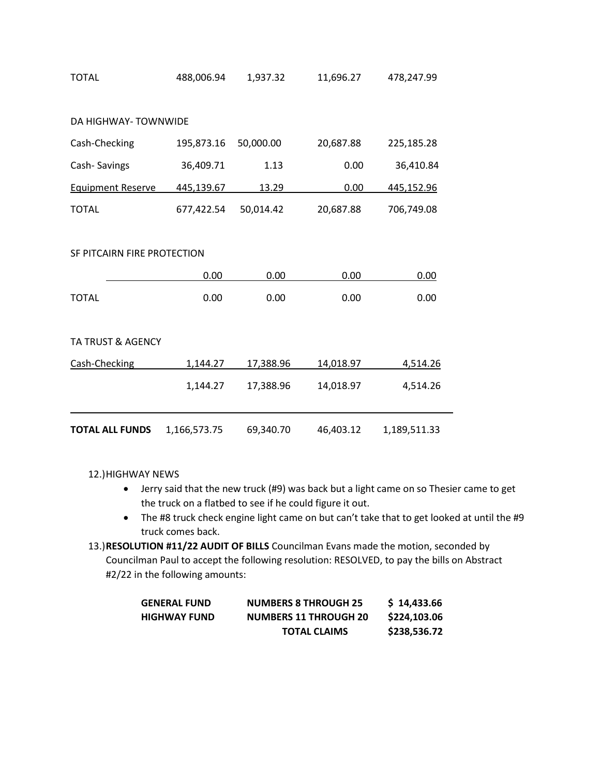| <b>TOTAL</b>                 | 488,006.94   | 1,937.32  | 11,696.27 | 478,247.99   |
|------------------------------|--------------|-----------|-----------|--------------|
|                              |              |           |           |              |
| <b>DA HIGHWAY-TOWNWIDE</b>   |              |           |           |              |
| Cash-Checking                | 195,873.16   | 50,000.00 | 20,687.88 | 225,185.28   |
| Cash-Savings                 | 36,409.71    | 1.13      | 0.00      | 36,410.84    |
| <b>Equipment Reserve</b>     | 445,139.67   | 13.29     | 0.00      | 445,152.96   |
| <b>TOTAL</b>                 | 677,422.54   | 50,014.42 | 20,687.88 | 706,749.08   |
|                              |              |           |           |              |
| SF PITCAIRN FIRE PROTECTION  |              |           |           |              |
|                              | 0.00         | 0.00      | 0.00      | 0.00         |
| <b>TOTAL</b>                 | 0.00         | 0.00      | 0.00      | 0.00         |
|                              |              |           |           |              |
| <b>TA TRUST &amp; AGENCY</b> |              |           |           |              |
| Cash-Checking                | 1,144.27     | 17,388.96 | 14,018.97 | 4,514.26     |
|                              | 1,144.27     | 17,388.96 | 14,018.97 | 4,514.26     |
|                              |              |           |           |              |
| <b>TOTAL ALL FUNDS</b>       | 1,166,573.75 | 69,340.70 | 46,403.12 | 1,189,511.33 |

12.)HIGHWAY NEWS

- Jerry said that the new truck (#9) was back but a light came on so Thesier came to get the truck on a flatbed to see if he could figure it out.
- The #8 truck check engine light came on but can't take that to get looked at until the #9 truck comes back.
- 13.)**RESOLUTION #11/22 AUDIT OF BILLS** Councilman Evans made the motion, seconded by Councilman Paul to accept the following resolution: RESOLVED, to pay the bills on Abstract #2/22 in the following amounts:

| <b>GENERAL FUND</b> | <b>NUMBERS 8 THROUGH 25</b>  | \$14,433.66  |
|---------------------|------------------------------|--------------|
| <b>HIGHWAY FUND</b> | <b>NUMBERS 11 THROUGH 20</b> | \$224,103.06 |
|                     | <b>TOTAL CLAIMS</b>          | \$238,536.72 |